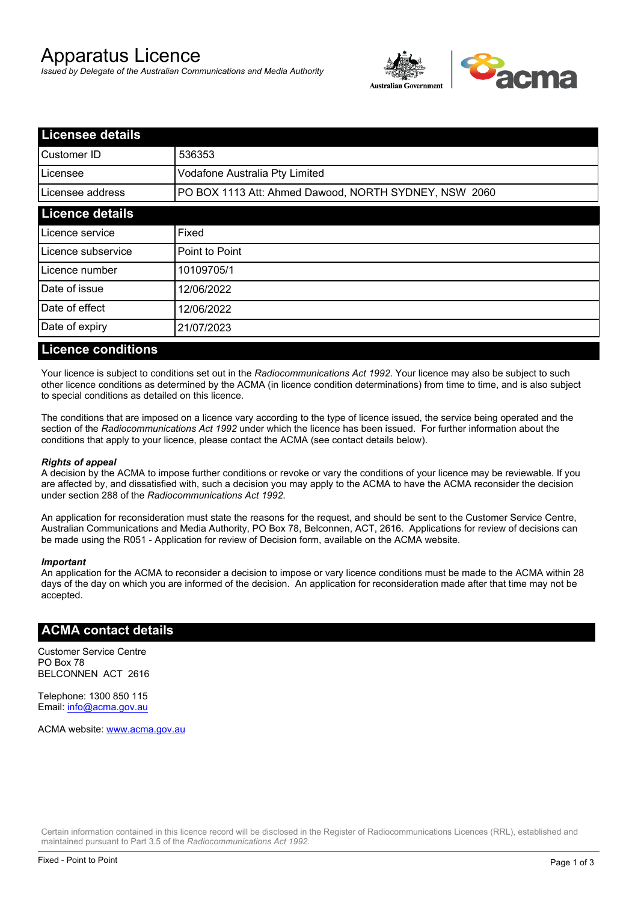# Apparatus Licence

*Issued by Delegate of the Australian Communications and Media Authority*



| <b>Licensee details</b> |                                                       |  |  |
|-------------------------|-------------------------------------------------------|--|--|
| lCustomer ID            | 536353                                                |  |  |
| l Licensee              | Vodafone Australia Pty Limited                        |  |  |
| Licensee address        | PO BOX 1113 Att: Ahmed Dawood, NORTH SYDNEY, NSW 2060 |  |  |
| <b>Licence details</b>  |                                                       |  |  |
| Licence service         | Fixed                                                 |  |  |
| Licence subservice      | Point to Point                                        |  |  |
| Licence number          | 10109705/1                                            |  |  |
| Date of issue           | 12/06/2022                                            |  |  |
| Date of effect          | 12/06/2022                                            |  |  |
| Date of expiry          | 21/07/2023                                            |  |  |
|                         |                                                       |  |  |

### **Licence conditions**

Your licence is subject to conditions set out in the *Radiocommunications Act 1992*. Your licence may also be subject to such other licence conditions as determined by the ACMA (in licence condition determinations) from time to time, and is also subject to special conditions as detailed on this licence.

The conditions that are imposed on a licence vary according to the type of licence issued, the service being operated and the section of the *Radiocommunications Act 1992* under which the licence has been issued. For further information about the conditions that apply to your licence, please contact the ACMA (see contact details below).

#### *Rights of appeal*

A decision by the ACMA to impose further conditions or revoke or vary the conditions of your licence may be reviewable. If you are affected by, and dissatisfied with, such a decision you may apply to the ACMA to have the ACMA reconsider the decision under section 288 of the *Radiocommunications Act 1992*.

An application for reconsideration must state the reasons for the request, and should be sent to the Customer Service Centre, Australian Communications and Media Authority, PO Box 78, Belconnen, ACT, 2616. Applications for review of decisions can be made using the R051 - Application for review of Decision form, available on the ACMA website.

#### *Important*

An application for the ACMA to reconsider a decision to impose or vary licence conditions must be made to the ACMA within 28 days of the day on which you are informed of the decision. An application for reconsideration made after that time may not be accepted.

#### **ACMA contact details**

Customer Service Centre PO Box 78 BELCONNEN ACT 2616

Telephone: 1300 850 115 Email: info@acma.gov.au

ACMA website: www.acma.gov.au

Certain information contained in this licence record will be disclosed in the Register of Radiocommunications Licences (RRL), established and maintained pursuant to Part 3.5 of the *Radiocommunications Act 1992.*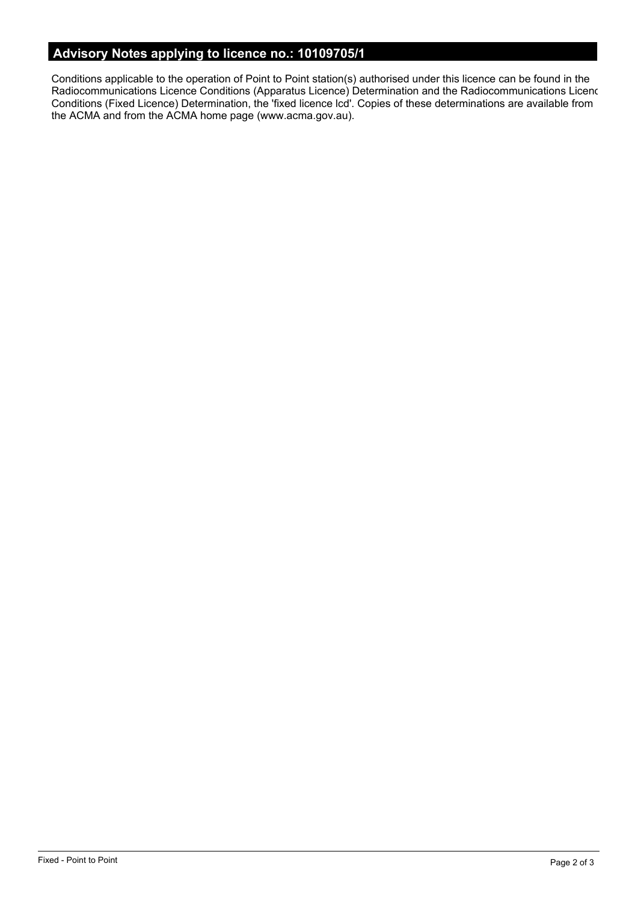# **Advisory Notes applying to licence no.: 10109705/1**

Conditions applicable to the operation of Point to Point station(s) authorised under this licence can be found in the Radiocommunications Licence Conditions (Apparatus Licence) Determination and the Radiocommunications Licence Conditions (Fixed Licence) Determination, the 'fixed licence lcd'. Copies of these determinations are available from the ACMA and from the ACMA home page (www.acma.gov.au).